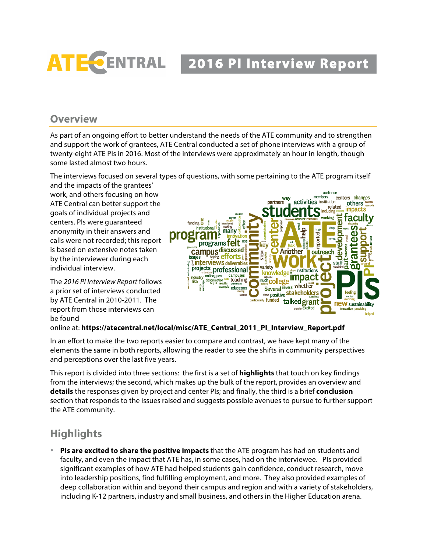

# -**2016 PI Interview Report**-

# **Overview**

As part of an ongoing effort to better understand the needs of the ATE community and to strengthen and support the work of grantees, ATE Central conducted a set of phone interviews with a group of twenty-eight ATE PIs in 2016. Most of the interviews were approximately an hour in length, though some lasted almost two hours.

The interviews focused on several types of questions, with some pertaining to the ATE program itself

and the impacts of the grantees' work, and others focusing on how ATE Central can better support the goals of individual projects and centers. PIs were guaranteed anonymity in their answers and calls were not recorded; this report is based on extensive notes taken by the interviewer during each individual interview.

The *2016 PI Interview Report* follows a prior set of interviews conducted by ATE Central in 2010-2011. The report from those interviews can be found



online at: **https://atecentral.net/local/misc/ATE\_Central\_2011\_PI\_Interview\_Report.pdf**

In an effort to make the two reports easier to compare and contrast, we have kept many of the elements the same in both reports, allowing the reader to see the shifts in community perspectives and perceptions over the last five years.

This report is divided into three sections: the first is a set of **highlights** that touch on key findings from the interviews; the second, which makes up the bulk of the report, provides an overview and **details** the responses given by project and center PIs; and finally, the third is a brief **conclusion** section that responds to the issues raised and suggests possible avenues to pursue to further support the ATE community.

# **Highlights**

• **PIs are excited to share the positive impacts** that the ATE program has had on students and faculty, and even the impact that ATE has, in some cases, had on the interviewee. PIs provided significant examples of how ATE had helped students gain confidence, conduct research, move into leadership positions, find fulfilling employment, and more. They also provided examples of deep collaboration within and beyond their campus and region and with a variety of stakeholders, including K-12 partners, industry and small business, and others in the Higher Education arena.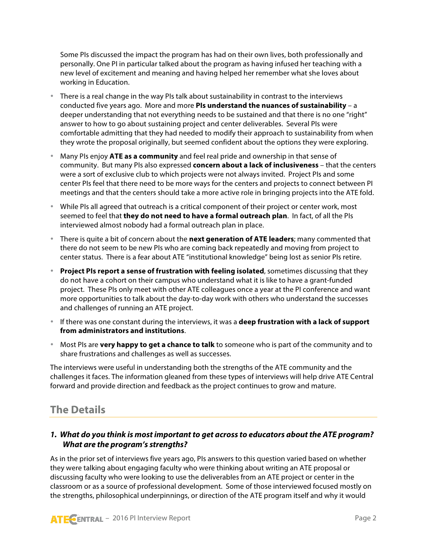Some PIs discussed the impact the program has had on their own lives, both professionally and personally. One PI in particular talked about the program as having infused her teaching with a new level of excitement and meaning and having helped her remember what she loves about working in Education.

- There is a real change in the way PIs talk about sustainability in contrast to the interviews conducted five years ago. More and more **PIs understand the nuances of sustainability** – a deeper understanding that not everything needs to be sustained and that there is no one "right" answer to how to go about sustaining project and center deliverables. Several PIs were comfortable admitting that they had needed to modify their approach to sustainability from when they wrote the proposal originally, but seemed confident about the options they were exploring.
- Many PIs enjoy **ATE as a community** and feel real pride and ownership in that sense of community. But many PIs also expressed **concern about a lack of inclusiveness** – that the centers were a sort of exclusive club to which projects were not always invited. Project PIs and some center PIs feel that there need to be more ways for the centers and projects to connect between PI meetings and that the centers should take a more active role in bringing projects into the ATE fold.
- While PIs all agreed that outreach is a critical component of their project or center work, most seemed to feel that **they do not need to have a formal outreach plan**. In fact, of all the PIs interviewed almost nobody had a formal outreach plan in place.
- There is quite a bit of concern about the **next generation of ATE leaders**; many commented that there do not seem to be new PIs who are coming back repeatedly and moving from project to center status. There is a fear about ATE "institutional knowledge" being lost as senior PIs retire.
- **Project PIs report a sense of frustration with feeling isolated**, sometimes discussing that they do not have a cohort on their campus who understand what it is like to have a grant-funded project. These PIs only meet with other ATE colleagues once a year at the PI conference and want more opportunities to talk about the day-to-day work with others who understand the successes and challenges of running an ATE project.
- If there was one constant during the interviews, it was a **deep frustration with a lack of support from administrators and institutions**.
- Most PIs are **very happy to get a chance to talk** to someone who is part of the community and to share frustrations and challenges as well as successes.

The interviews were useful in understanding both the strengths of the ATE community and the challenges it faces. The information gleaned from these types of interviews will help drive ATE Central forward and provide direction and feedback as the project continues to grow and mature.

# **The Details**

# *1. What do you think is most important to get across to educators about the ATE program? What are the program's strengths?*

As in the prior set of interviews five years ago, PIs answers to this question varied based on whether they were talking about engaging faculty who were thinking about writing an ATE proposal or discussing faculty who were looking to use the deliverables from an ATE project or center in the classroom or as a source of professional development. Some of those interviewed focused mostly on the strengths, philosophical underpinnings, or direction of the ATE program itself and why it would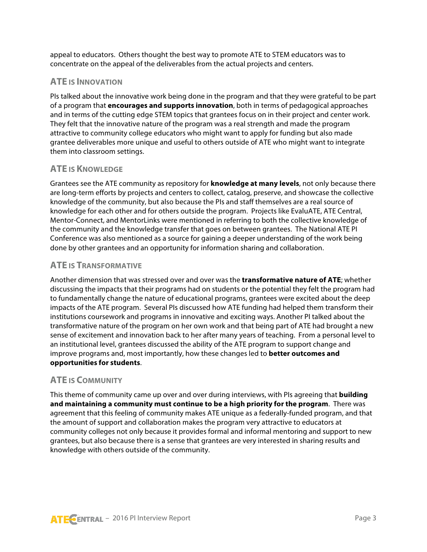appeal to educators. Others thought the best way to promote ATE to STEM educators was to concentrate on the appeal of the deliverables from the actual projects and centers.

# **ATE IS INNOVATION**

PIs talked about the innovative work being done in the program and that they were grateful to be part of a program that **encourages and supports innovation**, both in terms of pedagogical approaches and in terms of the cutting edge STEM topics that grantees focus on in their project and center work. They felt that the innovative nature of the program was a real strength and made the program attractive to community college educators who might want to apply for funding but also made grantee deliverables more unique and useful to others outside of ATE who might want to integrate them into classroom settings.

# **ATE IS KNOWLEDGE**

Grantees see the ATE community as repository for **knowledge at many levels**, not only because there are long-term efforts by projects and centers to collect, catalog, preserve, and showcase the collective knowledge of the community, but also because the PIs and staff themselves are a real source of knowledge for each other and for others outside the program. Projects like EvaluATE, ATE Central, Mentor-Connect, and MentorLinks were mentioned in referring to both the collective knowledge of the community and the knowledge transfer that goes on between grantees. The National ATE PI Conference was also mentioned as a source for gaining a deeper understanding of the work being done by other grantees and an opportunity for information sharing and collaboration.

#### **ATE IS TRANSFORMATIVE**

Another dimension that was stressed over and over was the **transformative nature of ATE**; whether discussing the impacts that their programs had on students or the potential they felt the program had to fundamentally change the nature of educational programs, grantees were excited about the deep impacts of the ATE program. Several PIs discussed how ATE funding had helped them transform their institutions coursework and programs in innovative and exciting ways. Another PI talked about the transformative nature of the program on her own work and that being part of ATE had brought a new sense of excitement and innovation back to her after many years of teaching. From a personal level to an institutional level, grantees discussed the ability of the ATE program to support change and improve programs and, most importantly, how these changes led to **better outcomes and opportunities for students**.

# **ATE IS COMMUNITY**

This theme of community came up over and over during interviews, with PIs agreeing that **building and maintaining a community must continue to be a high priority for the program**. There was agreement that this feeling of community makes ATE unique as a federally-funded program, and that the amount of support and collaboration makes the program very attractive to educators at community colleges not only because it provides formal and informal mentoring and support to new grantees, but also because there is a sense that grantees are very interested in sharing results and knowledge with others outside of the community.

ATE CENTRAL - 2016 PI Interview Report **Page 3** Page 3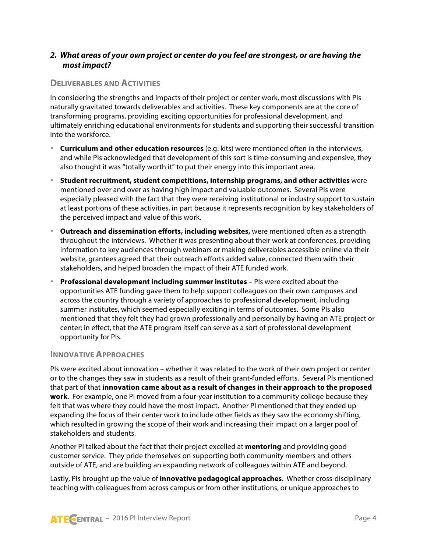# *2. What areas of your own project or center do you feel are strongest, or are having the most impact?*

#### **DELIVERABLES AND ACTIVITIES**

In considering the strengths and impacts of their project or center work, most discussions with PIs naturally gravitated towards deliverables and activities. These key components are at the core of transforming programs, providing exciting opportunities for professional development, and ultimately enriching educational environments for students and supporting their successful transition into the workforce.

- **Curriculum and other education resources** (e.g. kits) were mentioned often in the interviews, and while PIs acknowledged that development of this sort is time-consuming and expensive, they also thought it was "totally worth it" to put their energy into this important area.
- **Student recruitment, student competitions, internship programs, and other activities** were mentioned over and over as having high impact and valuable outcomes. Several PIs were especially pleased with the fact that they were receiving institutional or industry support to sustain at least portions of these activities, in part because it represents recognition by key stakeholders of the perceived impact and value of this work.
- **Outreach and dissemination efforts, including websites,** were mentioned often as a strength throughout the interviews. Whether it was presenting about their work at conferences, providing information to key audiences through webinars or making deliverables accessible online via their website, grantees agreed that their outreach efforts added value, connected them with their stakeholders, and helped broaden the impact of their ATE funded work.
- **Professional development including summer institutes** PIs were excited about the opportunities ATE funding gave them to help support colleagues on their own campuses and across the country through a variety of approaches to professional development, including summer institutes, which seemed especially exciting in terms of outcomes. Some PIs also mentioned that they felt they had grown professionally and personally by having an ATE project or center; in effect, that the ATE program itself can serve as a sort of professional development opportunity for PIs.

#### **INNOVATIVE APPROACHES**

PIs were excited about innovation – whether it was related to the work of their own project or center or to the changes they saw in students as a result of their grant-funded efforts. Several PIs mentioned that part of that **innovation came about as a result of changes in their approach to the proposed work**. For example, one PI moved from a four-year institution to a community college because they felt that was where they could have the most impact. Another PI mentioned that they ended up expanding the focus of their center work to include other fields as they saw the economy shifting, which resulted in growing the scope of their work and increasing their impact on a larger pool of stakeholders and students.

Another PI talked about the fact that their project excelled at **mentoring** and providing good customer service. They pride themselves on supporting both community members and others outside of ATE, and are building an expanding network of colleagues within ATE and beyond.

Lastly, PIs brought up the value of **innovative pedagogical approaches**. Whether cross-disciplinary teaching with colleagues from across campus or from other institutions, or unique approaches to

ATE CENTRAL - 2016 PI Interview Report **Page 4** Page 4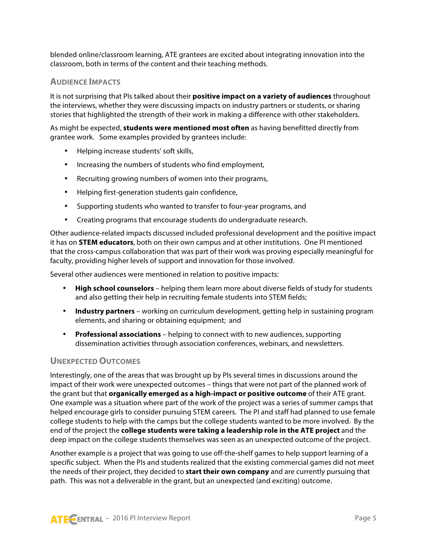blended online/classroom learning, ATE grantees are excited about integrating innovation into the classroom, both in terms of the content and their teaching methods.

#### **AUDIENCE IMPACTS**

It is not surprising that PIs talked about their **positive impact on a variety of audiences** throughout the interviews, whether they were discussing impacts on industry partners or students, or sharing stories that highlighted the strength of their work in making a difference with other stakeholders.

As might be expected, **students were mentioned most often** as having benefitted directly from grantee work. Some examples provided by grantees include:

- Helping increase students' soft skills,
- Increasing the numbers of students who find employment,
- Recruiting growing numbers of women into their programs,
- Helping first-generation students gain confidence,
- Supporting students who wanted to transfer to four-year programs, and
- Creating programs that encourage students do undergraduate research.

Other audience-related impacts discussed included professional development and the positive impact it has on **STEM educators**, both on their own campus and at other institutions. One PI mentioned that the cross-campus collaboration that was part of their work was proving especially meaningful for faculty, providing higher levels of support and innovation for those involved.

Several other audiences were mentioned in relation to positive impacts:

- **High school counselors** helping them learn more about diverse fields of study for students and also getting their help in recruiting female students into STEM fields;
- **Industry partners** working on curriculum development, getting help in sustaining program elements, and sharing or obtaining equipment; and
- **Professional associations** helping to connect with to new audiences, supporting dissemination activities through association conferences, webinars, and newsletters.

#### **UNEXPECTED OUTCOMES**

Interestingly, one of the areas that was brought up by PIs several times in discussions around the impact of their work were unexpected outcomes – things that were not part of the planned work of the grant but that **organically emerged as a high-impact or positive outcome** of their ATE grant. One example was a situation where part of the work of the project was a series of summer camps that helped encourage girls to consider pursuing STEM careers. The PI and staff had planned to use female college students to help with the camps but the college students wanted to be more involved. By the end of the project the **college students were taking a leadership role in the ATE project** and the deep impact on the college students themselves was seen as an unexpected outcome of the project.

Another example is a project that was going to use off-the-shelf games to help support learning of a specific subject. When the PIs and students realized that the existing commercial games did not meet the needs of their project, they decided to **start their own company** and are currently pursuing that path. This was not a deliverable in the grant, but an unexpected (and exciting) outcome.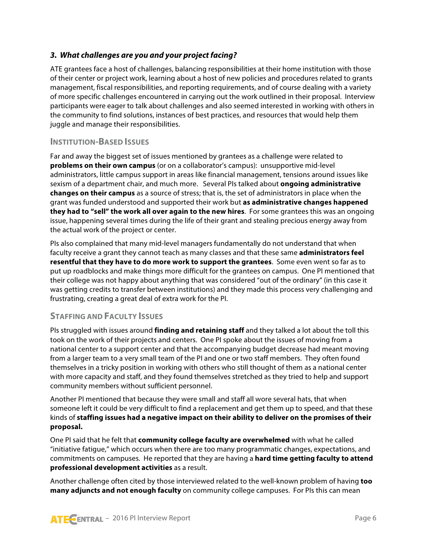# *3. What challenges are you and your project facing?*

ATE grantees face a host of challenges, balancing responsibilities at their home institution with those of their center or project work, learning about a host of new policies and procedures related to grants management, fiscal responsibilities, and reporting requirements, and of course dealing with a variety of more specific challenges encountered in carrying out the work outlined in their proposal. Interview participants were eager to talk about challenges and also seemed interested in working with others in the community to find solutions, instances of best practices, and resources that would help them juggle and manage their responsibilities.

#### **INSTITUTION-BASED ISSUES**

Far and away the biggest set of issues mentioned by grantees as a challenge were related to **problems on their own campus** (or on a collaborator's campus): unsupportive mid-level administrators, little campus support in areas like financial management, tensions around issues like sexism of a department chair, and much more. Several PIs talked about **ongoing administrative changes on their campus** as a source of stress; that is, the set of administrators in place when the grant was funded understood and supported their work but **as administrative changes happened they had to "sell" the work all over again to the new hires**. For some grantees this was an ongoing issue, happening several times during the life of their grant and stealing precious energy away from the actual work of the project or center.

PIs also complained that many mid-level managers fundamentally do not understand that when faculty receive a grant they cannot teach as many classes and that these same **administrators feel resentful that they have to do more work to support the grantees**. Some even went so far as to put up roadblocks and make things more difficult for the grantees on campus. One PI mentioned that their college was not happy about anything that was considered "out of the ordinary" (in this case it was getting credits to transfer between institutions) and they made this process very challenging and frustrating, creating a great deal of extra work for the PI.

# **STAFFING AND FACULTY ISSUES**

PIs struggled with issues around **finding and retaining staff** and they talked a lot about the toll this took on the work of their projects and centers. One PI spoke about the issues of moving from a national center to a support center and that the accompanying budget decrease had meant moving from a larger team to a very small team of the PI and one or two staff members. They often found themselves in a tricky position in working with others who still thought of them as a national center with more capacity and staff, and they found themselves stretched as they tried to help and support community members without sufficient personnel.

Another PI mentioned that because they were small and staff all wore several hats, that when someone left it could be very difficult to find a replacement and get them up to speed, and that these kinds of **staffing issues had a negative impact on their ability to deliver on the promises of their proposal.** 

One PI said that he felt that **community college faculty are overwhelmed** with what he called "initiative fatigue," which occurs when there are too many programmatic changes, expectations, and commitments on campuses. He reported that they are having a **hard time getting faculty to attend professional development activities** as a result.

Another challenge often cited by those interviewed related to the well-known problem of having **too many adjuncts and not enough faculty** on community college campuses. For PIs this can mean

**ATE CENTRAL** - 2016 PI Interview Report **Page 6** Page 6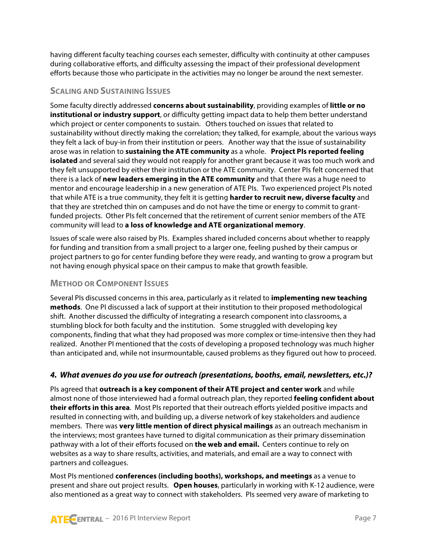having different faculty teaching courses each semester, difficulty with continuity at other campuses during collaborative efforts, and difficulty assessing the impact of their professional development efforts because those who participate in the activities may no longer be around the next semester.

# **SCALING AND SUSTAINING ISSUES**

Some faculty directly addressed **concerns about sustainability**, providing examples of **little or no institutional or industry support**, or difficulty getting impact data to help them better understand which project or center components to sustain. Others touched on issues that related to sustainability without directly making the correlation; they talked, for example, about the various ways they felt a lack of buy-in from their institution or peers. Another way that the issue of sustainability arose was in relation to **sustaining the ATE community** as a whole. **Project PIs reported feeling isolated** and several said they would not reapply for another grant because it was too much work and they felt unsupported by either their institution or the ATE community. Center PIs felt concerned that there is a lack of **new leaders emerging in the ATE community** and that there was a huge need to mentor and encourage leadership in a new generation of ATE PIs. Two experienced project PIs noted that while ATE is a true community, they felt it is getting **harder to recruit new, diverse faculty** and that they are stretched thin on campuses and do not have the time or energy to commit to grantfunded projects. Other PIs felt concerned that the retirement of current senior members of the ATE community will lead to **a loss of knowledge and ATE organizational memory**.

Issues of scale were also raised by PIs. Examples shared included concerns about whether to reapply for funding and transition from a small project to a larger one, feeling pushed by their campus or project partners to go for center funding before they were ready, and wanting to grow a program but not having enough physical space on their campus to make that growth feasible.

# **METHOD OR COMPONENT ISSUES**

Several PIs discussed concerns in this area, particularly as it related to **implementing new teaching methods**. One PI discussed a lack of support at their institution to their proposed methodological shift. Another discussed the difficulty of integrating a research component into classrooms, a stumbling block for both faculty and the institution. Some struggled with developing key components, finding that what they had proposed was more complex or time-intensive then they had realized. Another PI mentioned that the costs of developing a proposed technology was much higher than anticipated and, while not insurmountable, caused problems as they figured out how to proceed.

# *4. What avenues do you use for outreach (presentations, booths, email, newsletters, etc.)?*

PIs agreed that **outreach is a key component of their ATE project and center work** and while almost none of those interviewed had a formal outreach plan, they reported **feeling confident about their efforts in this area**. Most PIs reported that their outreach efforts yielded positive impacts and resulted in connecting with, and building up, a diverse network of key stakeholders and audience members. There was **very little mention of direct physical mailings** as an outreach mechanism in the interviews; most grantees have turned to digital communication as their primary dissemination pathway with a lot of their efforts focused on **the web and email.** Centers continue to rely on websites as a way to share results, activities, and materials, and email are a way to connect with partners and colleagues.

Most PIs mentioned **conferences (including booths), workshops, and meetings** as a venue to present and share out project results. **Open houses**, particularly in working with K-12 audience, were also mentioned as a great way to connect with stakeholders. PIs seemed very aware of marketing to

**ATE CENTRAL** - 2016 PI Interview Report **Page 7** Page 7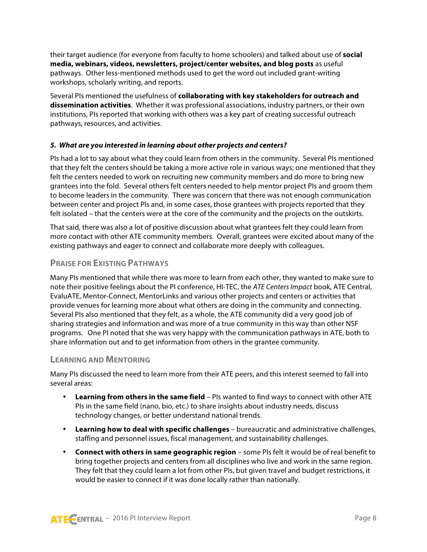their target audience (for everyone from faculty to home schoolers) and talked about use of **social media, webinars, videos, newsletters, project/center websites, and blog posts** as useful pathways. Other less-mentioned methods used to get the word out included grant-writing workshops, scholarly writing, and reports.

Several PIs mentioned the usefulness of **collaborating with key stakeholders for outreach and dissemination activities**. Whether it was professional associations, industry partners, or their own institutions, PIs reported that working with others was a key part of creating successful outreach pathways, resources, and activities.

#### *5. What are you interested in learning about other projects and centers?*

PIs had a lot to say about what they could learn from others in the community. Several PIs mentioned that they felt the centers should be taking a more active role in various ways; one mentioned that they felt the centers needed to work on recruiting new community members and do more to bring new grantees into the fold. Several others felt centers needed to help mentor project PIs and groom them to become leaders in the community. There was concern that there was not enough communication between center and project PIs and, in some cases, those grantees with projects reported that they felt isolated – that the centers were at the core of the community and the projects on the outskirts.

That said, there was also a lot of positive discussion about what grantees felt they could learn from more contact with other ATE community members. Overall, grantees were excited about many of the existing pathways and eager to connect and collaborate more deeply with colleagues.

#### **PRAISE FOR EXISTING PATHWAYS**

Many PIs mentioned that while there was more to learn from each other, they wanted to make sure to note their positive feelings about the PI conference, HI-TEC, the *ATE Centers Impact* book, ATE Central, EvaluATE, Mentor-Connect, MentorLinks and various other projects and centers or activities that provide venues for learning more about what others are doing in the community and connecting. Several PIs also mentioned that they felt, as a whole, the ATE community did a very good job of sharing strategies and information and was more of a true community in this way than other NSF programs. One PI noted that she was very happy with the communication pathways in ATE, both to share information out and to get information from others in the grantee community.

#### **LEARNING AND MENTORING**

Many PIs discussed the need to learn more from their ATE peers, and this interest seemed to fall into several areas:

- **Learning from others in the same field** PIs wanted to find ways to connect with other ATE PIs in the same field (nano, bio, etc.) to share insights about industry needs, discuss technology changes, or better understand national trends.
- **Learning how to deal with specific challenges** bureaucratic and administrative challenges, staffing and personnel issues, fiscal management, and sustainability challenges.
- **Connect with others in same geographic region** some PIs felt it would be of real benefit to bring together projects and centers from all disciplines who live and work in the same region. They felt that they could learn a lot from other PIs, but given travel and budget restrictions, it would be easier to connect if it was done locally rather than nationally.

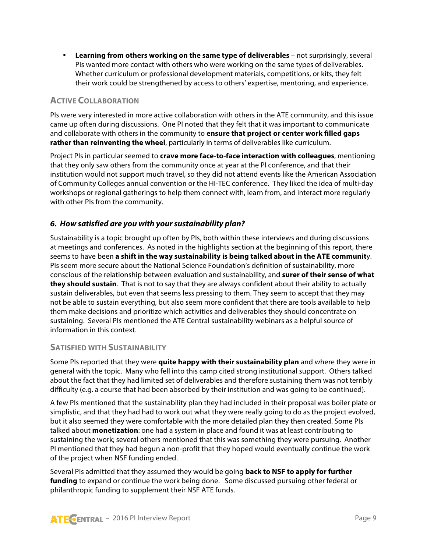• **Learning from others working on the same type of deliverables** – not surprisingly, several PIs wanted more contact with others who were working on the same types of deliverables. Whether curriculum or professional development materials, competitions, or kits, they felt their work could be strengthened by access to others' expertise, mentoring, and experience.

# **ACTIVE COLLABORATION**

PIs were very interested in more active collaboration with others in the ATE community, and this issue came up often during discussions. One PI noted that they felt that it was important to communicate and collaborate with others in the community to **ensure that project or center work filled gaps rather than reinventing the wheel**, particularly in terms of deliverables like curriculum.

Project PIs in particular seemed to **crave more face-to-face interaction with colleagues**, mentioning that they only saw others from the community once at year at the PI conference, and that their institution would not support much travel, so they did not attend events like the American Association of Community Colleges annual convention or the HI-TEC conference. They liked the idea of multi-day workshops or regional gatherings to help them connect with, learn from, and interact more regularly with other PIs from the community.

# *6. How satisfied are you with your sustainability plan?*

Sustainability is a topic brought up often by PIs, both within these interviews and during discussions at meetings and conferences. As noted in the highlights section at the beginning of this report, there seems to have been **a shift in the way sustainability is being talked about in the ATE communit**y. PIs seem more secure about the National Science Foundation's definition of sustainability, more conscious of the relationship between evaluation and sustainability, and **surer of their sense of what they should sustain**. That is not to say that they are always confident about their ability to actually sustain deliverables, but even that seems less pressing to them. They seem to accept that they may not be able to sustain everything, but also seem more confident that there are tools available to help them make decisions and prioritize which activities and deliverables they should concentrate on sustaining. Several PIs mentioned the ATE Central sustainability webinars as a helpful source of information in this context.

# **SATISFIED WITH SUSTAINABILITY**

Some PIs reported that they were **quite happy with their sustainability plan** and where they were in general with the topic. Many who fell into this camp cited strong institutional support. Others talked about the fact that they had limited set of deliverables and therefore sustaining them was not terribly difficulty (e.g. a course that had been absorbed by their institution and was going to be continued).

A few PIs mentioned that the sustainability plan they had included in their proposal was boiler plate or simplistic, and that they had had to work out what they were really going to do as the project evolved, but it also seemed they were comfortable with the more detailed plan they then created. Some PIs talked about **monetization**: one had a system in place and found it was at least contributing to sustaining the work; several others mentioned that this was something they were pursuing. Another PI mentioned that they had begun a non-profit that they hoped would eventually continue the work of the project when NSF funding ended.

Several PIs admitted that they assumed they would be going **back to NSF to apply for further funding** to expand or continue the work being done. Some discussed pursuing other federal or philanthropic funding to supplement their NSF ATE funds.

ATE CENTRAL - 2016 PI Interview Report **Page 9** Page 9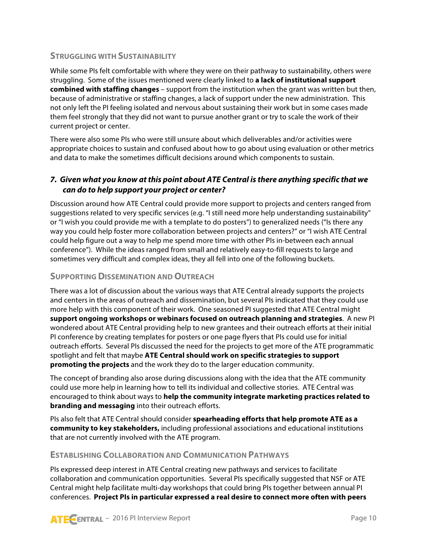#### **STRUGGLING WITH SUSTAINABILITY**

While some PIs felt comfortable with where they were on their pathway to sustainability, others were struggling. Some of the issues mentioned were clearly linked to **a lack of institutional support combined with staffing changes** – support from the institution when the grant was written but then, because of administrative or staffing changes, a lack of support under the new administration. This not only left the PI feeling isolated and nervous about sustaining their work but in some cases made them feel strongly that they did not want to pursue another grant or try to scale the work of their current project or center.

There were also some PIs who were still unsure about which deliverables and/or activities were appropriate choices to sustain and confused about how to go about using evaluation or other metrics and data to make the sometimes difficult decisions around which components to sustain.

# *7. Given what you know at this point about ATE Central is there anything specific that we can do to help support your project or center?*

Discussion around how ATE Central could provide more support to projects and centers ranged from suggestions related to very specific services (e.g. "I still need more help understanding sustainability" or "I wish you could provide me with a template to do posters") to generalized needs ("Is there any way you could help foster more collaboration between projects and centers?" or "I wish ATE Central could help figure out a way to help me spend more time with other PIs in-between each annual conference"). While the ideas ranged from small and relatively easy-to-fill requests to large and sometimes very difficult and complex ideas, they all fell into one of the following buckets.

#### **SUPPORTING DISSEMINATION AND OUTREACH**

There was a lot of discussion about the various ways that ATE Central already supports the projects and centers in the areas of outreach and dissemination, but several PIs indicated that they could use more help with this component of their work. One seasoned PI suggested that ATE Central might **support ongoing workshops or webinars focused on outreach planning and strategies**. A new PI wondered about ATE Central providing help to new grantees and their outreach efforts at their initial PI conference by creating templates for posters or one page flyers that PIs could use for initial outreach efforts. Several PIs discussed the need for the projects to get more of the ATE programmatic spotlight and felt that maybe **ATE Central should work on specific strategies to support promoting the projects** and the work they do to the larger education community.

The concept of branding also arose during discussions along with the idea that the ATE community could use more help in learning how to tell its individual and collective stories. ATE Central was encouraged to think about ways to **help the community integrate marketing practices related to branding and messaging** into their outreach efforts.

PIs also felt that ATE Central should consider **spearheading efforts that help promote ATE as a community to key stakeholders,** including professional associations and educational institutions that are not currently involved with the ATE program.

#### **ESTABLISHING COLLABORATION AND COMMUNICATION PATHWAYS**

PIs expressed deep interest in ATE Central creating new pathways and services to facilitate collaboration and communication opportunities. Several PIs specifically suggested that NSF or ATE Central might help facilitate multi-day workshops that could bring PIs together between annual PI conferences. **Project PIs in particular expressed a real desire to connect more often with peers** 

**ATE CENTRAL** - 2016 PI Interview Report **Page 10** Page 10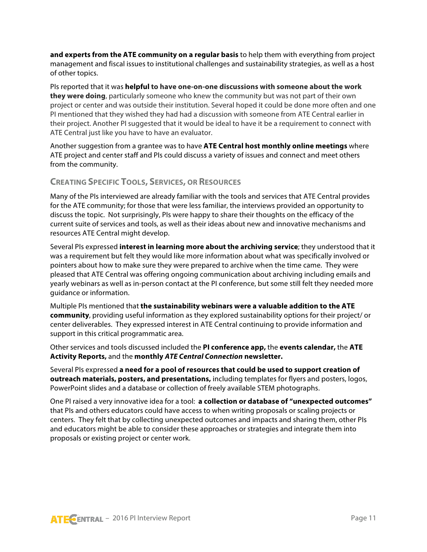**and experts from the ATE community on a regular basis** to help them with everything from project management and fiscal issues to institutional challenges and sustainability strategies, as well as a host of other topics.

PIs reported that it was **helpful to have one-on-one discussions with someone about the work they were doing**, particularly someone who knew the community but was not part of their own project or center and was outside their institution. Several hoped it could be done more often and one PI mentioned that they wished they had had a discussion with someone from ATE Central earlier in their project. Another PI suggested that it would be ideal to have it be a requirement to connect with ATE Central just like you have to have an evaluator.

Another suggestion from a grantee was to have **ATE Central host monthly online meetings** where ATE project and center staff and PIs could discuss a variety of issues and connect and meet others from the community.

# **CREATING SPECIFIC TOOLS, SERVICES, OR RESOURCES**

Many of the PIs interviewed are already familiar with the tools and services that ATE Central provides for the ATE community; for those that were less familiar, the interviews provided an opportunity to discuss the topic. Not surprisingly, PIs were happy to share their thoughts on the efficacy of the current suite of services and tools, as well as their ideas about new and innovative mechanisms and resources ATE Central might develop.

Several PIs expressed **interest in learning more about the archiving service**; they understood that it was a requirement but felt they would like more information about what was specifically involved or pointers about how to make sure they were prepared to archive when the time came. They were pleased that ATE Central was offering ongoing communication about archiving including emails and yearly webinars as well as in-person contact at the PI conference, but some still felt they needed more guidance or information.

Multiple PIs mentioned that **the sustainability webinars were a valuable addition to the ATE community**, providing useful information as they explored sustainability options for their project/ or center deliverables. They expressed interest in ATE Central continuing to provide information and support in this critical programmatic area.

Other services and tools discussed included the **PI conference app,** the **events calendar,** the **ATE Activity Reports,** and the **monthly** *ATE Central Connection* **newsletter.** 

Several PIs expressed **a need for a pool of resources that could be used to support creation of outreach materials, posters, and presentations,** including templates for flyers and posters, logos, PowerPoint slides and a database or collection of freely available STEM photographs.

One PI raised a very innovative idea for a tool: **a collection or database of "unexpected outcomes"** that PIs and others educators could have access to when writing proposals or scaling projects or centers. They felt that by collecting unexpected outcomes and impacts and sharing them, other PIs and educators might be able to consider these approaches or strategies and integrate them into proposals or existing project or center work.

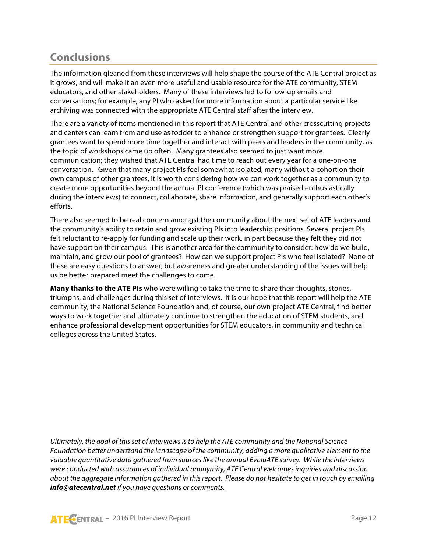# **Conclusions**

The information gleaned from these interviews will help shape the course of the ATE Central project as it grows, and will make it an even more useful and usable resource for the ATE community, STEM educators, and other stakeholders. Many of these interviews led to follow-up emails and conversations; for example, any PI who asked for more information about a particular service like archiving was connected with the appropriate ATE Central staff after the interview.

There are a variety of items mentioned in this report that ATE Central and other crosscutting projects and centers can learn from and use as fodder to enhance or strengthen support for grantees. Clearly grantees want to spend more time together and interact with peers and leaders in the community, as the topic of workshops came up often. Many grantees also seemed to just want more communication; they wished that ATE Central had time to reach out every year for a one-on-one conversation. Given that many project PIs feel somewhat isolated, many without a cohort on their own campus of other grantees, it is worth considering how we can work together as a community to create more opportunities beyond the annual PI conference (which was praised enthusiastically during the interviews) to connect, collaborate, share information, and generally support each other's efforts.

There also seemed to be real concern amongst the community about the next set of ATE leaders and the community's ability to retain and grow existing PIs into leadership positions. Several project PIs felt reluctant to re-apply for funding and scale up their work, in part because they felt they did not have support on their campus. This is another area for the community to consider: how do we build, maintain, and grow our pool of grantees? How can we support project PIs who feel isolated? None of these are easy questions to answer, but awareness and greater understanding of the issues will help us be better prepared meet the challenges to come.

**Many thanks to the ATE PIs** who were willing to take the time to share their thoughts, stories, triumphs, and challenges during this set of interviews. It is our hope that this report will help the ATE community, the National Science Foundation and, of course, our own project ATE Central, find better ways to work together and ultimately continue to strengthen the education of STEM students, and enhance professional development opportunities for STEM educators, in community and technical colleges across the United States.

*Ultimately, the goal of this set of interviews is to help the ATE community and the National Science Foundation better understand the landscape of the community, adding a more qualitative element to the valuable quantitative data gathered from sources like the annual EvaluATE survey. While the interviews were conducted with assurances of individual anonymity, ATE Central welcomes inquiries and discussion about the aggregate information gathered in this report. Please do not hesitate to get in touch by emailing info@atecentral.net if you have questions or comments.*